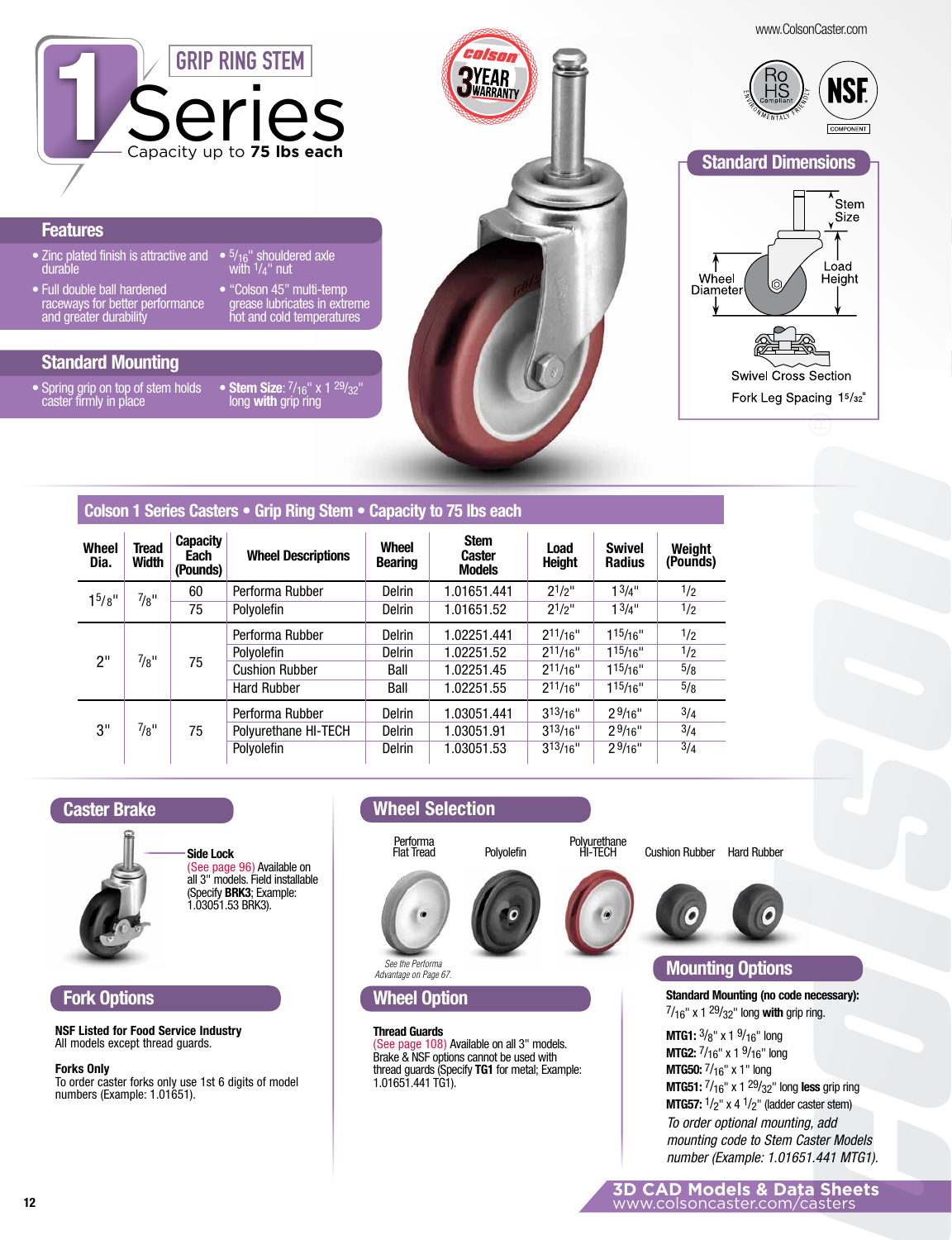www.ColsonCaster.com



#### **Features**

- Zinc plated finish is attractive and durable
- Full double ball hardened raceways for better performance and greater durability
- 5/<sub>16</sub>" shouldered axle • "Colson 45" multi-temp with 1/4" nut
- grease lubricates in extreme hot and cold temperatures

## **Standard Mounting**

• Spring grip on top of stem holds • caster firmly in place

**Stem Size**: 7/16" x 1 29/32" long **with** grip ring





Swivel Cross Section Fork Leg Spacing 15/32"

### **Colson 1 Series Casters • Grip Ring Stem • Capacity to 75 lbs each**

| <b>Wheel</b><br>Dia. | Tread<br>Width | <b>Capacity</b><br>Each<br>(Pounds) | <b>Wheel Descriptions</b> | <b>Wheel</b><br><b>Bearing</b> | <b>Stem</b><br>Caster<br><b>Models</b> | Load<br><b>Height</b> | <b>Swivel</b><br><b>Radius</b> | Weight<br>(Pounds) |
|----------------------|----------------|-------------------------------------|---------------------------|--------------------------------|----------------------------------------|-----------------------|--------------------------------|--------------------|
| 1 <sup>5</sup> /8''  | $^{7}/8"$      | 60                                  | Performa Rubber           | Delrin                         | 1.01651.441                            | $2^{1/2}$             | 13/4"                          | 1/2                |
|                      |                | 75                                  | Polvolefin                | Delrin                         | 1.01651.52                             | $2^{1/2}$             | 1 <sup>3</sup> /4"             | 1/2                |
| 2"                   | $^{7}/8"$      | 75                                  | Performa Rubber           | <b>Delrin</b>                  | 1.02251.441                            | 211/16"               | 115/16"                        | 1/2                |
|                      |                |                                     | Polyolefin                | <b>Delrin</b>                  | 1.02251.52                             | $2^{11/16}$           | $1^{15}/16"$                   | 1/2                |
|                      |                |                                     | <b>Cushion Rubber</b>     | Ball                           | 1.02251.45                             | $2^{11/16"}$          | 115/16"                        | 5/8                |
|                      |                |                                     | <b>Hard Rubber</b>        | Ball                           | 1.02251.55                             | $2^{11/16}$           | 115/16"                        | 5/8                |
| 3"                   | $^{7}/8"$      | 75                                  | Performa Rubber           | <b>Delrin</b>                  | 1.03051.441                            | 313/16"               | 29/16"                         | 3/4                |
|                      |                |                                     | Polyurethane HI-TECH      | <b>Delrin</b>                  | 1.03051.91                             | 313/16"               | 29/16"                         | 3/4                |
|                      |                |                                     | Polyolefin                | <b>Delrin</b>                  | 1.03051.53                             | $3^{13/16}$           | 29/16"                         | 3/4                |

#### **Caster Brake**



**Side Lock** (See page 96) Available on all 3" models. Field installable (Specify **BRK3**; Example: 1.03051.53 BRK3).

### **Fork Options**

**NSF Listed for Food Service Industry** All models except thread guards.

#### **Forks Only**

To order caster forks only use 1st 6 digits of model numbers (Example: 1.01651).

# **Wheel Selection**



**Wheel Option**

*See the Performa Advantage on Page 67.*

(See page 108) Available on all 3" models. Brake & NSF options cannot be used with thread guards (Specify **TG1** for metal; Example:

**Thread Guards**

1.01651.441 TG1).









# **Mounting Options**

**Standard Mounting (no code necessary):**  7/16" x 1 29/32" long **with** grip ring.

**MTG1:**  $\frac{3}{8}$ " x 1  $\frac{9}{16}$ " long **MTG2:**  $7/16$ " x 1  $9/16$ " long **MTG50:** 7/16" x 1" long **MTG51:** 7/16" x 1 29/32" long **less** grip ring **MTG57:**  $\frac{1}{2}$ " x 4  $\frac{1}{2}$ " (ladder caster stem) *To order optional mounting, add mounting code to Stem Caster Models number (Example: 1.01651.441 MTG1).*

**3D CAD Models & Data Sheets** www.colsoncaster.com/casters